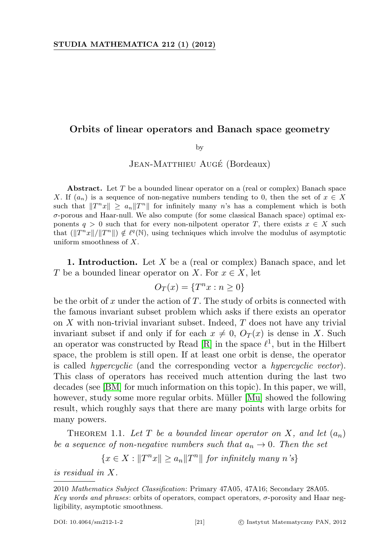## Orbits of linear operators and Banach space geometry

by

JEAN-MATTHIEU AUGÉ (Bordeaux)

Abstract. Let  $T$  be a bounded linear operator on a (real or complex) Banach space X. If  $(a_n)$  is a sequence of non-negative numbers tending to 0, then the set of  $x \in X$ such that  $||T^n x|| \ge a_n ||T^n||$  for infinitely many n's has a complement which is both  $\sigma$ -porous and Haar-null. We also compute (for some classical Banach space) optimal exponents  $q > 0$  such that for every non-nilpotent operator T, there exists  $x \in X$  such that  $(\|T^n x\|/\|T^n\|) \notin \ell^q(\mathbb{N})$ , using techniques which involve the modulus of asymptotic uniform smoothness of  $X$ .

**1. Introduction.** Let  $X$  be a (real or complex) Banach space, and let T be a bounded linear operator on X. For  $x \in X$ , let

$$
O_T(x) = \{T^n x : n \ge 0\}
$$

be the orbit of x under the action of  $T$ . The study of orbits is connected with the famous invariant subset problem which asks if there exists an operator on  $X$  with non-trivial invariant subset. Indeed,  $T$  does not have any trivial invariant subset if and only if for each  $x \neq 0$ ,  $O_T(x)$  is dense in X. Such an operator was constructed by Read  $[R]$  in the space  $\ell^1$ , but in the Hilbert space, the problem is still open. If at least one orbit is dense, the operator is called hypercyclic (and the corresponding vector a hypercyclic vector). This class of operators has received much attention during the last two decades (see [\[BM\]](#page-17-0) for much information on this topic). In this paper, we will, however, study some more regular orbits. Müller [\[Mu\]](#page-18-1) showed the following result, which roughly says that there are many points with large orbits for many powers.

<span id="page-0-0"></span>THEOREM 1.1. Let T be a bounded linear operator on X, and let  $(a_n)$ be a sequence of non-negative numbers such that  $a_n \to 0$ . Then the set

$$
\{x \in X : ||T^n x|| \ge a_n ||T^n|| \text{ for infinitely many } n \text{'s}\}
$$

is residual in X.

2010 Mathematics Subject Classification: Primary 47A05, 47A16; Secondary 28A05.

Key words and phrases: orbits of operators, compact operators, σ-porosity and Haar negligibility, asymptotic smoothness.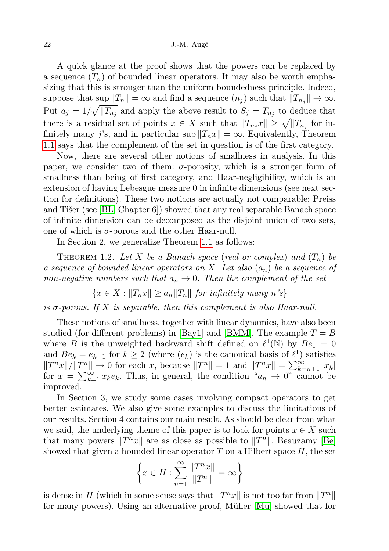A quick glance at the proof shows that the powers can be replaced by a sequence  $(T_n)$  of bounded linear operators. It may also be worth emphasizing that this is stronger than the uniform boundedness principle. Indeed, suppose that sup  $||T_n|| = \infty$  and find a sequence  $(n_j)$  such that  $||T_{n_j}|| \to \infty$ . Put  $a_j = 1/\sqrt{\Vert T_{n_j}\Vert}$  and apply the above result to  $S_j = T_{n_j}$  to deduce that there is a residual set of points  $x \in X$  such that  $||T_{n_j}x|| \ge \sqrt{||T_{n_j}||}$  for infinitely many j's, and in particular sup  $||T_n x|| = \infty$ . Equivalently, Theorem [1.1](#page-0-0) says that the complement of the set in question is of the first category.

Now, there are several other notions of smallness in analysis. In this paper, we consider two of them:  $\sigma$ -porosity, which is a stronger form of smallness than being of first category, and Haar-negligibility, which is an extension of having Lebesgue measure 0 in infinite dimensions (see next section for definitions). These two notions are actually not comparable: Preiss and Tišer (see  $[BL, Chapter 6]$  $[BL, Chapter 6]$ ) showed that any real separable Banach space of infinite dimension can be decomposed as the disjoint union of two sets, one of which is  $\sigma$ -porous and the other Haar-null.

In Section 2, we generalize Theorem [1.1](#page-0-0) as follows:

<span id="page-1-0"></span>THEOREM 1.2. Let X be a Banach space (real or complex) and  $(T_n)$  be a sequence of bounded linear operators on X. Let also  $(a_n)$  be a sequence of non-negative numbers such that  $a_n \to 0$ . Then the complement of the set

 ${x \in X : ||T_n x|| \ge a_n ||T_n||}$  for infinitely many n's

is  $\sigma$ -porous. If X is separable, then this complement is also Haar-null.

These notions of smallness, together with linear dynamics, have also been studied (for different problems) in [\[Bay1\]](#page-17-2) and [\[BMM\]](#page-17-3). The example  $T = B$ where B is the unweighted backward shift defined on  $\ell^1(\mathbb{N})$  by  $Be_1 = 0$ and  $Be_k = e_{k-1}$  for  $k \geq 2$  (where  $(e_k)$  is the canonical basis of  $\ell^1$ ) satisfies  $||T^nx||/||T^n|| \to 0$  for each x, because  $||T^n|| = 1$  and  $||T^nx|| = \sum_{k=n+1}^{\infty} |x_k|$ for  $x = \sum_{k=1}^{\infty} x_k e_k$ . Thus, in general, the condition " $a_n \to 0$ " cannot be improved.

In Section 3, we study some cases involving compact operators to get better estimates. We also give some examples to discuss the limitations of our results. Section 4 contains our main result. As should be clear from what we said, the underlying theme of this paper is to look for points  $x \in X$  such that many powers  $||T^n x||$  are as close as possible to  $||T^n||$ . Beauzamy [\[Be\]](#page-17-4) showed that given a bounded linear operator  $T$  on a Hilbert space  $H$ , the set

$$
\left\{x\in H: \sum_{n=1}^\infty \frac{\|T^nx\|}{\|T^n\|}=\infty\right\}
$$

is dense in H (which in some sense says that  $\|T^n x\|$  is not too far from  $\|T^n\|$ for many powers). Using an alternative proof, Müller  $[Mu]$  showed that for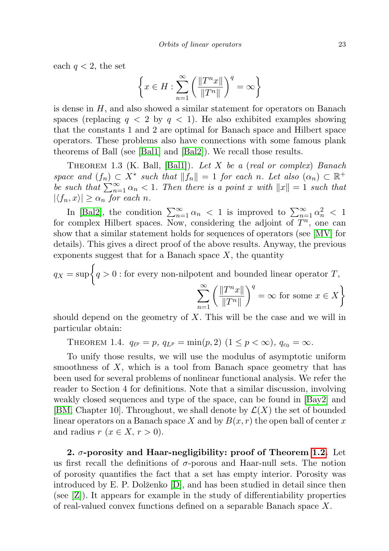each  $q < 2$ , the set

$$
\left\{x\in H: \sum_{n=1}^\infty \left(\frac{\|T^nx\|}{\|T^n\|}\right)^q=\infty\right\}
$$

is dense in  $H$ , and also showed a similar statement for operators on Banach spaces (replacing  $q < 2$  by  $q < 1$ ). He also exhibited examples showing that the constants 1 and 2 are optimal for Banach space and Hilbert space operators. These problems also have connections with some famous plank theorems of Ball (see [\[Bal1\]](#page-17-5) and [\[Bal2\]](#page-17-6)). We recall those results.

THEOREM 1.3 (K. Ball, [\[Bal1\]](#page-17-5)). Let  $X$  be a (real or complex) Banach space and  $(f_n) \subset X^*$  such that  $||f_n|| = 1$  for each n. Let also  $(\alpha_n) \subset \mathbb{R}^+$ be such that  $\sum_{n=1}^{\infty} \alpha_n < 1$ . Then there is a point x with  $||x|| = 1$  such that  $|\langle f_n, x \rangle| \geq \alpha_n$  for each n.

In [\[Bal2\]](#page-17-6), the condition  $\sum_{n=1}^{\infty} \alpha_n < 1$  is improved to  $\sum_{n=1}^{\infty} \alpha_n^2 < 1$ for complex Hilbert spaces. Now, considering the adjoint of  $T^n$ , one can show that a similar statement holds for sequences of operators (see [\[MV\]](#page-18-2) for details). This gives a direct proof of the above results. Anyway, the previous exponents suggest that for a Banach space  $X$ , the quantity

$$
q_X = \sup \left\{ q > 0 : \text{for every non-nilpotent and bounded linear operator } T, \right\}
$$

$$
\sum_{n=1}^{\infty} \left( \frac{\|T^n x\|}{\|T^n x\|} \right)^q = \infty \text{ for some } x \in X
$$

should depend on the geometry of  $X$ . This will be the case and we will in particular obtain:

 $n=1$ 

 $||T^n||$ 

THEOREM 1.4.  $q_{\ell^p} = p$ ,  $q_{L^p} = \min(p, 2)$   $(1 \leq p < \infty)$ ,  $q_{c_0} = \infty$ .

To unify those results, we will use the modulus of asymptotic uniform smoothness of  $X$ , which is a tool from Banach space geometry that has been used for several problems of nonlinear functional analysis. We refer the reader to Section 4 for definitions. Note that a similar discussion, involving weakly closed sequences and type of the space, can be found in [\[Bay2\]](#page-17-7) and [\[BM,](#page-17-0) Chapter 10]. Throughout, we shall denote by  $\mathcal{L}(X)$  the set of bounded linear operators on a Banach space X and by  $B(x, r)$  the open ball of center x and radius  $r (x \in X, r > 0)$ .

2.  $\sigma$ -porosity and Haar-negligibility: proof of Theorem [1.2.](#page-1-0) Let us first recall the definitions of  $\sigma$ -porous and Haar-null sets. The notion of porosity quantifies the fact that a set has empty interior. Porosity was introduced by E. P. Dolženko  $[D]$ , and has been studied in detail since then (see [\[Z\]](#page-18-3)). It appears for example in the study of differentiability properties of real-valued convex functions defined on a separable Banach space X.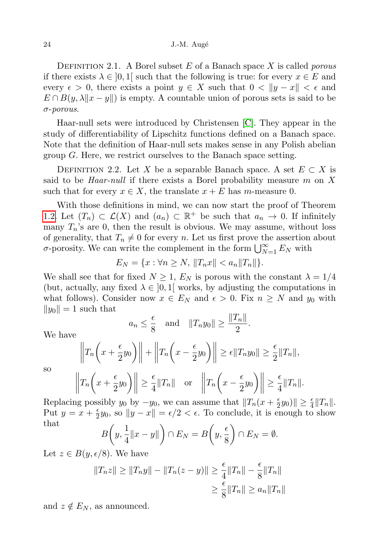DEFINITION 2.1. A Borel subset  $E$  of a Banach space  $X$  is called *porous* if there exists  $\lambda \in [0,1]$  such that the following is true: for every  $x \in E$  and every  $\epsilon > 0$ , there exists a point  $y \in X$  such that  $0 < ||y - x|| < \epsilon$  and  $E \cap B(y, \lambda ||x - y||)$  is empty. A countable union of porous sets is said to be σ-porous.

Haar-null sets were introduced by Christensen [\[C\]](#page-17-9). They appear in the study of differentiability of Lipschitz functions defined on a Banach space. Note that the definition of Haar-null sets makes sense in any Polish abelian group G. Here, we restrict ourselves to the Banach space setting.

DEFINITION 2.2. Let X be a separable Banach space. A set  $E \subset X$  is said to be *Haar-null* if there exists a Borel probability measure m on  $X$ such that for every  $x \in X$ , the translate  $x + E$  has m-measure 0.

With those definitions in mind, we can now start the proof of Theorem [1.2.](#page-1-0) Let  $(T_n) \subset \mathcal{L}(X)$  and  $(a_n) \subset \mathbb{R}^+$  be such that  $a_n \to 0$ . If infinitely many  $T_n$ 's are 0, then the result is obvious. We may assume, without loss of generality, that  $T_n \neq 0$  for every n. Let us first prove the assertion about  $\sigma$ -porosity. We can write the complement in the form  $\bigcup_{N=1}^{\infty} E_N$  with

$$
E_N = \{x : \forall n \ge N, \|T_n x\| < a_n \|T_n\|\}.
$$

We shall see that for fixed  $N \geq 1$ ,  $E_N$  is porous with the constant  $\lambda = 1/4$ (but, actually, any fixed  $\lambda \in [0,1]$  works, by adjusting the computations in what follows). Consider now  $x \in E_N$  and  $\epsilon > 0$ . Fix  $n \geq N$  and  $y_0$  with  $||y_0|| = 1$  such that

$$
a_n \leq \frac{\epsilon}{8}
$$
 and  $||T_n y_0|| \geq \frac{||T_n||}{2}$ .

We have

$$
\left\|T_n\left(x+\frac{\epsilon}{2}y_0\right)\right\|+\left\|T_n\left(x-\frac{\epsilon}{2}y_0\right)\right\| \ge \epsilon \|T_n y_0\| \ge \frac{\epsilon}{2} \|T_n\|,
$$

so

$$
\left\|T_n\left(x+\frac{\epsilon}{2}y_0\right)\right\| \ge \frac{\epsilon}{4} \|T_n\| \quad \text{or} \quad \left\|T_n\left(x-\frac{\epsilon}{2}y_0\right)\right\| \ge \frac{\epsilon}{4} \|T_n\|.
$$

Replacing possibly  $y_0$  by  $-y_0$ , we can assume that  $||T_n(x + \frac{\epsilon}{2})||$  $\frac{\epsilon}{2}y_0$ | $\geq \frac{\epsilon}{4}$ || $T_n$ ||. Put  $y = x + \frac{\epsilon}{2}$  $\frac{ε}{2}y_0$ , so  $||y - x|| = ε/2 < ε$ . To conclude, it is enough to show that

$$
B\left(y, \frac{1}{4}||x - y||\right) \cap E_N = B\left(y, \frac{\epsilon}{8}\right) \cap E_N = \emptyset.
$$

Let  $z \in B(y, \epsilon/8)$ . We have

$$
||T_n z|| \ge ||T_n y|| - ||T_n (z - y)|| \ge \frac{\epsilon}{4} ||T_n|| - \frac{\epsilon}{8} ||T_n||
$$
  

$$
\ge \frac{\epsilon}{8} ||T_n|| \ge a_n ||T_n||
$$

and  $z \notin E_N$ , as announced.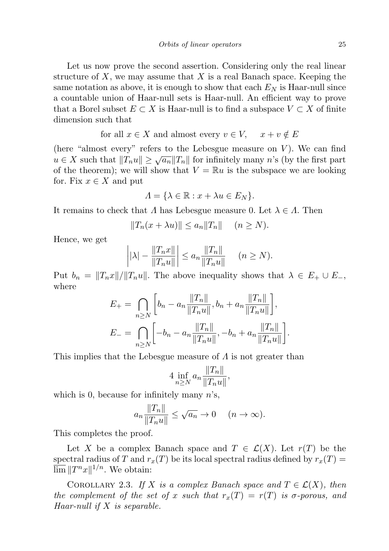Let us now prove the second assertion. Considering only the real linear structure of X, we may assume that X is a real Banach space. Keeping the same notation as above, it is enough to show that each  $E<sub>N</sub>$  is Haar-null since a countable union of Haar-null sets is Haar-null. An efficient way to prove that a Borel subset  $E \subset X$  is Haar-null is to find a subspace  $V \subset X$  of finite dimension such that

for all 
$$
x \in X
$$
 and almost every  $v \in V$ ,  $x + v \notin E$ 

(here "almost every" refers to the Lebesgue measure on  $V$ ). We can find where  $\ell$  and that  $||T_n u|| \ge \sqrt{a_n} ||T_n||$  for infinitely many n's (by the first part of the theorem); we will show that  $V = \mathbb{R}u$  is the subspace we are looking for. Fix  $x \in X$  and put

$$
\Lambda = \{ \lambda \in \mathbb{R} : x + \lambda u \in E_N \}.
$$

It remains to check that  $\Lambda$  has Lebesgue measure 0. Let  $\lambda \in \Lambda$ . Then

$$
||T_n(x + \lambda u)|| \le a_n ||T_n|| \quad (n \ge N).
$$

Hence, we get

$$
\left| |\lambda| - \frac{\|T_n x\|}{\|T_n u\|} \right| \le a_n \frac{\|T_n\|}{\|T_n u\|} \quad (n \ge N).
$$

Put  $b_n = ||T_n x||/||T_n u||$ . The above inequality shows that  $\lambda \in E_+ \cup E_-,$ where

$$
E_{+} = \bigcap_{n \geq N} \left[ b_n - a_n \frac{\|T_n\|}{\|T_n u\|}, b_n + a_n \frac{\|T_n\|}{\|T_n u\|} \right],
$$
  

$$
E_{-} = \bigcap_{n \geq N} \left[ -b_n - a_n \frac{\|T_n\|}{\|T_n u\|}, -b_n + a_n \frac{\|T_n\|}{\|T_n u\|} \right].
$$

This implies that the Lebesgue measure of  $\Lambda$  is not greater than

$$
4\inf_{n\geq N}a_n\frac{\|T_n\|}{\|T_n u\|},
$$

which is 0, because for infinitely many  $n$ 's,

$$
a_n \frac{\|T_n\|}{\|T_n u\|} \le \sqrt{a_n} \to 0 \quad (n \to \infty).
$$

This completes the proof.

Let X be a complex Banach space and  $T \in \mathcal{L}(X)$ . Let  $r(T)$  be the spectral radius of T and  $r_x(T)$  be its local spectral radius defined by  $r_x(T) =$  $\overline{\lim}$   $||T^n x||^{1/n}$ . We obtain:

COROLLARY 2.3. If X is a complex Banach space and  $T \in \mathcal{L}(X)$ , then the complement of the set of x such that  $r_x(T) = r(T)$  is  $\sigma$ -porous, and Haar-null if  $X$  is separable.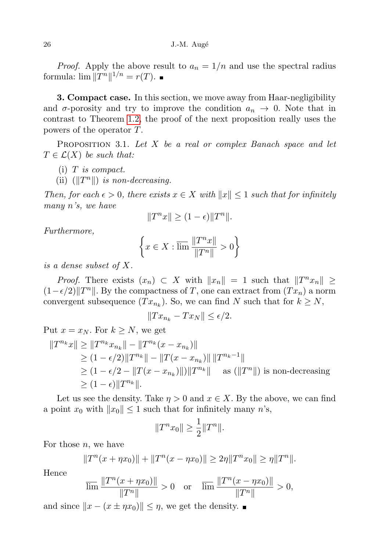*Proof.* Apply the above result to  $a_n = 1/n$  and use the spectral radius formula:  $\lim \|T^n\|^{1/n} = r(T)$ .

**3. Compact case.** In this section, we move away from Haar-negligibility and  $\sigma$ -porosity and try to improve the condition  $a_n \to 0$ . Note that in contrast to Theorem [1.2,](#page-1-0) the proof of the next proposition really uses the powers of the operator T.

<span id="page-5-0"></span>**PROPOSITION** 3.1. Let  $X$  be a real or complex Banach space and let  $T \in \mathcal{L}(X)$  be such that:

- $(i)$  T is compact.
- (ii)  $(||T^n||)$  is non-decreasing.

Then, for each  $\epsilon > 0$ , there exists  $x \in X$  with  $||x|| \leq 1$  such that for infinitely many n's, we have

$$
||T^n x|| \ge (1 - \epsilon) ||T^n||.
$$

Furthermore,

$$
\left\{x\in X:\varlimsup \frac{\|T^nx\|}{\|T^n\|}>0\right\}
$$

is a dense subset of X.

*Proof.* There exists  $(x_n) \subset X$  with  $||x_n|| = 1$  such that  $||T^n x_n|| \ge$  $(1-\epsilon/2)$ ||T<sup>n</sup>||. By the compactness of T, one can extract from  $(Tx_n)$  a norm convergent subsequence  $(T x_{n_k})$ . So, we can find N such that for  $k \geq N$ ,

$$
||Tx_{n_k} - Tx_N|| \le \epsilon/2.
$$

Put 
$$
x = x_N
$$
. For  $k \ge N$ , we get  
\n
$$
||T^{n_k}x|| \ge ||T^{n_k}x_{n_k}|| - ||T^{n_k}(x - x_{n_k})||
$$
\n
$$
\ge (1 - \epsilon/2)||T^{n_k}|| - ||T(x - x_{n_k})|| ||T^{n_k-1}||
$$
\n
$$
\ge (1 - \epsilon/2 - ||T(x - x_{n_k})||) ||T^{n_k}|| \text{ as } (||T^n||) \text{ is non-decreasing}
$$
\n
$$
\ge (1 - \epsilon)||T^{n_k}||.
$$

Let us see the density. Take  $\eta > 0$  and  $x \in X$ . By the above, we can find a point  $x_0$  with  $||x_0|| \leq 1$  such that for infinitely many n's,

$$
||T^{n}x_0|| \geq \frac{1}{2}||T^{n}||.
$$

For those  $n$ , we have

$$
||T^n(x + \eta x_0)|| + ||T^n(x - \eta x_0)|| \ge 2\eta ||T^n x_0|| \ge \eta ||T^n||.
$$

Hence

$$
\overline{\lim} \frac{\|T^n(x + \eta x_0)\|}{\|T^n\|} > 0 \quad \text{or} \quad \overline{\lim} \frac{\|T^n(x - \eta x_0)\|}{\|T^n\|} > 0,
$$

and since  $||x - (x \pm \eta x_0)|| \leq \eta$ , we get the density.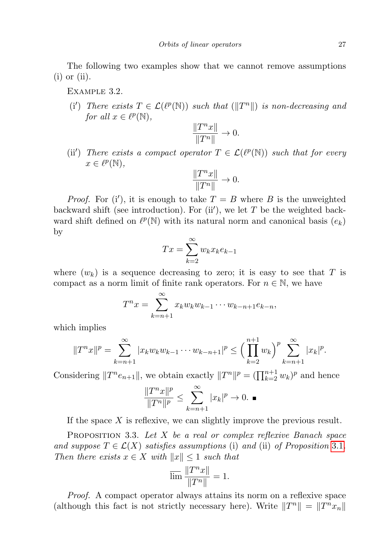The following two examples show that we cannot remove assumptions  $(i)$  or  $(ii)$ .

Example 3.2.

(i') There exists  $T \in \mathcal{L}(\ell^p(\mathbb{N}))$  such that  $(\|T^n\|)$  is non-decreasing and for all  $x \in \ell^p(\mathbb{N}),$ 

$$
\frac{\|T^nx\|}{\|T^n\|}\to 0.
$$

(ii') There exists a compact operator  $T \in \mathcal{L}(\ell^p(\mathbb{N}))$  such that for every  $x \in \ell^p(\mathbb{N}),$ 

$$
\frac{\|T^nx\|}{\|T^n\|}\to 0.
$$

*Proof.* For (i'), it is enough to take  $T = B$  where B is the unweighted backward shift (see introduction). For  $(ii')$ , we let T be the weighted backward shift defined on  $\ell^p(\mathbb{N})$  with its natural norm and canonical basis  $(e_k)$ by

$$
Tx = \sum_{k=2}^{\infty} w_k x_k e_{k-1}
$$

where  $(w_k)$  is a sequence decreasing to zero; it is easy to see that T is compact as a norm limit of finite rank operators. For  $n \in \mathbb{N}$ , we have

$$
T^n x = \sum_{k=n+1}^{\infty} x_k w_k w_{k-1} \cdots w_{k-n+1} e_{k-n},
$$

which implies

$$
||T^{n}x||^{p} = \sum_{k=n+1}^{\infty} |x_{k}w_{k}w_{k-1}\cdots w_{k-n+1}|^{p} \leq \left(\prod_{k=2}^{n+1} w_{k}\right)^{p} \sum_{k=n+1}^{\infty} |x_{k}|^{p}.
$$

Considering  $||T^n e_{n+1}||$ , we obtain exactly  $||T^n||^p = (\prod_{k=2}^{n+1} w_k)^p$  and hence

$$
\frac{\|T^nx\|^p}{\|T^n\|^p}\leq \sum_{k=n+1}^\infty |x_k|^p\to 0. \ \blacksquare
$$

If the space X is reflexive, we can slightly improve the previous result.

PROPOSITION 3.3. Let X be a real or complex reflexive Banach space and suppose  $T \in \mathcal{L}(X)$  satisfies assumptions (i) and (ii) of Proposition [3.1](#page-5-0). Then there exists  $x \in X$  with  $||x|| \leq 1$  such that

$$
\varlimsup \frac{\|T^nx\|}{\|T^n\|}=1.
$$

Proof. A compact operator always attains its norm on a reflexive space (although this fact is not strictly necessary here). Write  $||T^n|| = ||T^n x_n||$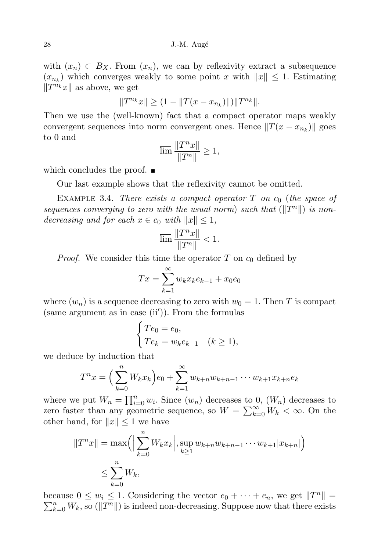with  $(x_n) \subset B_X$ . From  $(x_n)$ , we can by reflexivity extract a subsequence  $(x_{n_k})$  which converges weakly to some point x with  $||x|| \leq 1$ . Estimating  $\|T^{n_k}x\|$  as above, we get

$$
||T^{n_k}x|| \ge (1 - ||T(x - x_{n_k})||)||T^{n_k}||.
$$

Then we use the (well-known) fact that a compact operator maps weakly convergent sequences into norm convergent ones. Hence  $||T(x - x_{n_k})||$  goes to 0 and

$$
\varlimsup \frac{\|T^nx\|}{\|T^n\|} \geq 1,
$$

which concludes the proof.  $\blacksquare$ 

Our last example shows that the reflexivity cannot be omitted.

EXAMPLE 3.4. There exists a compact operator T on  $c_0$  (the space of sequences converging to zero with the usual norm) such that  $(\Vert T^n \Vert)$  is nondecreasing and for each  $x \in c_0$  with  $||x|| \leq 1$ ,

$$
\overline{\lim}\, \frac{\|T^nx\|}{\|T^n\|} < 1.
$$

*Proof.* We consider this time the operator T on  $c_0$  defined by

$$
Tx = \sum_{k=1}^{\infty} w_k x_k e_{k-1} + x_0 e_0
$$

where  $(w_n)$  is a sequence decreasing to zero with  $w_0 = 1$ . Then T is compact  $(same argument as in case (ii')).$  From the formulas

$$
\begin{cases}\nTe_0 = e_0, \\
Te_k = w_k e_{k-1} \quad (k \ge 1),\n\end{cases}
$$

we deduce by induction that

$$
T^{n}x = \left(\sum_{k=0}^{n} W_{k}x_{k}\right)e_{0} + \sum_{k=1}^{\infty} w_{k+n}w_{k+n-1}\cdots w_{k+1}x_{k+n}e_{k}
$$

where we put  $W_n = \prod_{i=0}^n w_i$ . Since  $(w_n)$  decreases to 0,  $(W_n)$  decreases to zero faster than any geometric sequence, so  $W = \sum_{k=0}^{\infty} W_k < \infty$ . On the other hand, for  $||x|| \leq 1$  we have

$$
||T^n x|| = \max\left( \left| \sum_{k=0}^n W_k x_k \right|, \sup_{k \ge 1} w_{k+n} w_{k+n-1} \cdots w_{k+1} |x_{k+n}|\right) \le \sum_{k=0}^n W_k,
$$

because  $0 \leq w_i \leq 1$ . Considering the vector  $e_0 + \cdots + e_n$ , we get  $||T^n|| =$  $\sum_{k=0}^{n} W_k$ , so  $(\Vert T^n \Vert)$  is indeed non-decreasing. Suppose now that there exists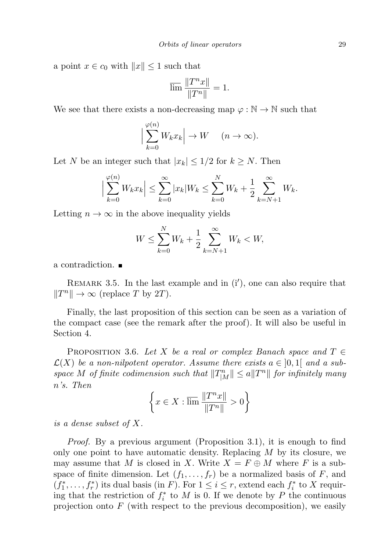a point  $x \in c_0$  with  $||x|| \leq 1$  such that

$$
\overline{\lim}\, \frac{\|T^nx\|}{\|T^n\|}=1.
$$

We see that there exists a non-decreasing map  $\varphi : \mathbb{N} \to \mathbb{N}$  such that

$$
\Big|\sum_{k=0}^{\varphi(n)} W_k x_k\Big| \to W \quad (n \to \infty).
$$

Let N be an integer such that  $|x_k| \leq 1/2$  for  $k \geq N$ . Then

$$
\left| \sum_{k=0}^{\varphi(n)} W_k x_k \right| \leq \sum_{k=0}^{\infty} |x_k| W_k \leq \sum_{k=0}^{N} W_k + \frac{1}{2} \sum_{k=N+1}^{\infty} W_k.
$$

Letting  $n \to \infty$  in the above inequality yields

$$
W \le \sum_{k=0}^{N} W_k + \frac{1}{2} \sum_{k=N+1}^{\infty} W_k < W,
$$

a contradiction.

REMARK 3.5. In the last example and in  $(i')$ , one can also require that  $||T^n|| \to \infty$  (replace T by 2T).

Finally, the last proposition of this section can be seen as a variation of the compact case (see the remark after the proof). It will also be useful in Section 4.

<span id="page-8-0"></span>PROPOSITION 3.6. Let X be a real or complex Banach space and  $T \in$  $\mathcal{L}(X)$  be a non-nilpotent operator. Assume there exists  $a \in [0,1]$  and a subspace M of finite codimension such that  $||T_{|M}^n|| \le a||T^n||$  for infinitely many n's. Then

$$
\left\{x\in X:\varlimsup \frac{\|T^nx\|}{\|T^n\|}>0\right\}
$$

is a dense subset of X.

Proof. By a previous argument (Proposition 3.1), it is enough to find only one point to have automatic density. Replacing  $M$  by its closure, we may assume that M is closed in X. Write  $X = F \oplus M$  where F is a subspace of finite dimension. Let  $(f_1, \ldots, f_r)$  be a normalized basis of F, and  $(f_1^*, \ldots, f_r^*)$  its dual basis (in F). For  $1 \leq i \leq r$ , extend each  $f_i^*$  to X requiring that the restriction of  $f_i^*$  to M is 0. If we denote by P the continuous projection onto  $F$  (with respect to the previous decomposition), we easily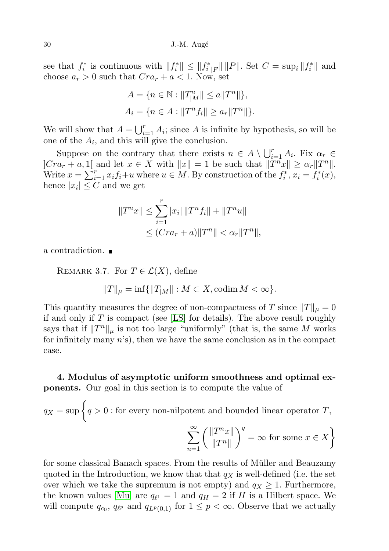see that  $f_i^*$  is continuous with  $||f_i^*|| \leq ||f_i^*|| ||P||$ . Set  $C = \sup_i ||f_i^*||$  and choose  $a_r > 0$  such that  $Cra_r + a < 1$ . Now, set

$$
A = \{ n \in \mathbb{N} : ||T_{|M}^{n}|| \le a||T^{n}|| \},
$$
  

$$
A_{i} = \{ n \in A : ||T^{n}f_{i}|| \ge a_{r}||T^{n}|| \}.
$$

We will show that  $A = \bigcup_{i=1}^r A_i$ ; since A is infinite by hypothesis, so will be one of the  $A_i$ , and this will give the conclusion.

Suppose on the contrary that there exists  $n \in A \setminus \bigcup_{i=1}^r A_i$ . Fix  $\alpha_r \in$  $|Cra_r + a, 1|$  and let  $x \in X$  with  $||x|| = 1$  be such that  $||T^nx|| \ge \alpha_r ||T^n||$ . Write  $x = \sum_{i=1}^{r} x_i f_i + u$  where  $u \in M$ . By construction of the  $f_i^*, x_i = f_i^*(x)$ , hence  $|x_i| \leq C$  and we get

$$
||T^n x|| \le \sum_{i=1}^r |x_i| ||T^n f_i|| + ||T^n u||
$$
  
\n
$$
\le (Cra_r + a) ||T^n|| < \alpha_r ||T^n||,
$$

a contradiction.

REMARK 3.7. For  $T \in \mathcal{L}(X)$ , define

$$
||T||_{\mu} = \inf{||T_{|M}|| : M \subset X, \text{codim } M < \infty}.
$$

This quantity measures the degree of non-compactness of T since  $||T||_{\mu} = 0$ if and only if  $T$  is compact (see [\[LS\]](#page-18-4) for details). The above result roughly says that if  $||T^n||_\mu$  is not too large "uniformly" (that is, the same M works for infinitely many  $n$ 's), then we have the same conclusion as in the compact case.

4. Modulus of asymptotic uniform smoothness and optimal exponents. Our goal in this section is to compute the value of

$$
q_X = \sup \left\{ q > 0 : \text{for every non-nilpotent and bounded linear operator } T, \right\}
$$

$$
\sum_{n=1}^{\infty} \left( \frac{\|T^n x\|}{\|T^n\|} \right)^q = \infty \text{ for some } x \in X \right\}
$$

for some classical Banach spaces. From the results of Müller and Beauzamy quoted in the Introduction, we know that that  $q_X$  is well-defined (i.e. the set over which we take the supremum is not empty) and  $q_X \geq 1$ . Furthermore, the known values [\[Mu\]](#page-18-1) are  $q_{\ell^1} = 1$  and  $q_H = 2$  if H is a Hilbert space. We will compute  $q_{c_0}$ ,  $q_{\ell^p}$  and  $q_{L^p(0,1)}$  for  $1 \leq p < \infty$ . Observe that we actually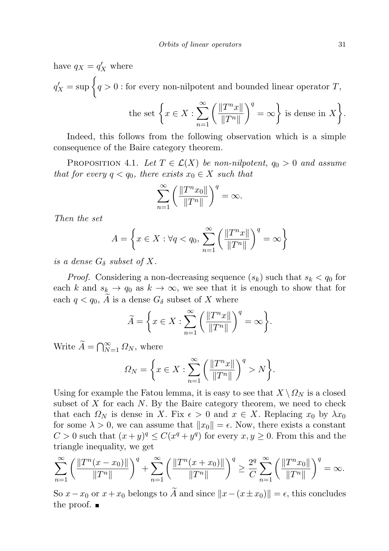have  $q_X = q'_X$  where  $q'_X = \sup \Big\{ q > 0 : \text{for every non-nilpotent and bounded linear operator } T,$ the set  $\left\{x \in X : \sum_{n=0}^{\infty} \left(\frac{\|T^n x\|}{\|T_n\|}\right)\right\}$  $||T^n||$  $\Big\}^q = \infty$  is dense in X }.

n=1 Indeed, this follows from the following observation which is a simple consequence of the Baire category theorem.

<span id="page-10-0"></span>PROPOSITION 4.1. Let  $T \in \mathcal{L}(X)$  be non-nilpotent,  $q_0 > 0$  and assume that for every  $q < q_0$ , there exists  $x_0 \in X$  such that

$$
\sum_{n=1}^{\infty} \left( \frac{\|T^n x_0\|}{\|T^n\|} \right)^q = \infty.
$$

Then the set

$$
A = \left\{ x \in X : \forall q < q_0, \sum_{n=1}^{\infty} \left( \frac{\|T^n x\|}{\|T^n\|} \right)^q = \infty \right\}
$$

is a dense  $G_{\delta}$  subset of X.

*Proof.* Considering a non-decreasing sequence  $(s_k)$  such that  $s_k < q_0$  for each k and  $s_k \to q_0$  as  $k \to \infty$ , we see that it is enough to show that for each  $q < q_0$ , A is a dense  $G_\delta$  subset of X where

$$
\widetilde{A} = \left\{ x \in X : \sum_{n=1}^{\infty} \left( \frac{\|T^n x\|}{\|T^n\|} \right)^q = \infty \right\}.
$$

Write  $\widetilde{A} = \bigcap_{N=1}^{\infty} \Omega_N$ , where

$$
\Omega_N = \left\{ x \in X : \sum_{n=1}^{\infty} \left( \frac{\|T^n x\|}{\|T^n\|} \right)^q > N \right\}.
$$

Using for example the Fatou lemma, it is easy to see that  $X \setminus \Omega_N$  is a closed subset of  $X$  for each  $N$ . By the Baire category theorem, we need to check that each  $\Omega_N$  is dense in X. Fix  $\epsilon > 0$  and  $x \in X$ . Replacing  $x_0$  by  $\lambda x_0$ for some  $\lambda > 0$ , we can assume that  $||x_0|| = \epsilon$ . Now, there exists a constant  $C > 0$  such that  $(x+y)^q \leq C(x^q + y^q)$  for every  $x, y \geq 0$ . From this and the triangle inequality, we get

$$
\sum_{n=1}^{\infty} \left( \frac{\|T^n(x - x_0)\|}{\|T^n\|} \right)^q + \sum_{n=1}^{\infty} \left( \frac{\|T^n(x + x_0)\|}{\|T^n\|} \right)^q \ge \frac{2^q}{C} \sum_{n=1}^{\infty} \left( \frac{\|T^n x_0\|}{\|T^n\|} \right)^q = \infty.
$$

So  $x-x_0$  or  $x+x_0$  belongs to A and since  $||x-(x\pm x_0)|| = \epsilon$ , this concludes the proof.  $\blacksquare$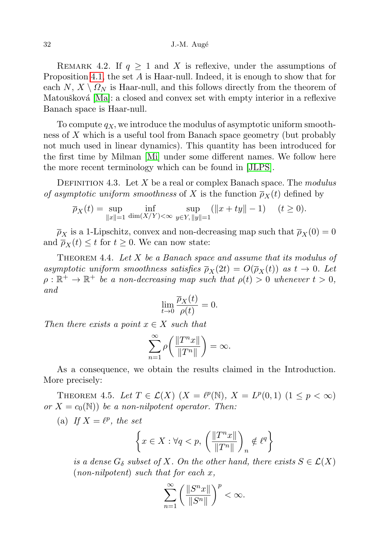REMARK 4.2. If  $q \geq 1$  and X is reflexive, under the assumptions of Proposition [4.1,](#page-10-0) the set A is Haar-null. Indeed, it is enough to show that for each  $N, X \setminus \Omega_N$  is Haar-null, and this follows directly from the theorem of Matoušková [\[Ma\]](#page-18-5): a closed and convex set with empty interior in a reflexive Banach space is Haar-null.

To compute  $q_X$ , we introduce the modulus of asymptotic uniform smoothness of X which is a useful tool from Banach space geometry (but probably not much used in linear dynamics). This quantity has been introduced for the first time by Milman [\[Mi\]](#page-18-6) under some different names. We follow here the more recent terminology which can be found in [\[JLPS\]](#page-17-10).

DEFINITION 4.3. Let  $X$  be a real or complex Banach space. The modulus of asymptotic uniform smoothness of X is the function  $\overline{\rho}_X(t)$  defined by

$$
\overline{\rho}_X(t) = \sup_{\|x\|=1} \inf_{\dim(X/Y) < \infty} \sup_{y \in Y, \|y\|=1} (\|x + ty\| - 1) \quad (t \ge 0).
$$

 $\overline{\rho}_X$  is a 1-Lipschitz, convex and non-decreasing map such that  $\overline{\rho}_X(0) = 0$ and  $\overline{\rho}_X(t) \leq t$  for  $t \geq 0$ . We can now state:

<span id="page-11-0"></span>THEOREM 4.4. Let  $X$  be a Banach space and assume that its modulus of asymptotic uniform smoothness satisfies  $\overline{\rho}_X(2t) = O(\overline{\rho}_X(t))$  as  $t \to 0$ . Let  $\rho : \mathbb{R}^+ \to \mathbb{R}^+$  be a non-decreasing map such that  $\rho(t) > 0$  whenever  $t > 0$ , and

$$
\lim_{t \to 0} \frac{\overline{\rho}_X(t)}{\rho(t)} = 0.
$$

Then there exists a point  $x \in X$  such that

$$
\sum_{n=1}^{\infty} \rho \bigg( \frac{\|T^n x\|}{\|T^n\|} \bigg) = \infty.
$$

As a consequence, we obtain the results claimed in the Introduction. More precisely:

THEOREM 4.5. Let  $T \in \mathcal{L}(X)$   $(X = \ell^p(\mathbb{N}), X = L^p(0,1)$   $(1 \leq p < \infty)$ or  $X = c_0(\mathbb{N})$  be a non-nilpotent operator. Then:

(a) If  $X = \ell^p$ , the set

$$
\left\{x\in X: \forall q
$$

is a dense  $G_{\delta}$  subset of X. On the other hand, there exists  $S \in \mathcal{L}(X)$  $(non-nilpotent)$  such that for each x,

$$
\sum_{n=1}^{\infty} \left( \frac{\|S^n x\|}{\|S^n\|} \right)^p < \infty.
$$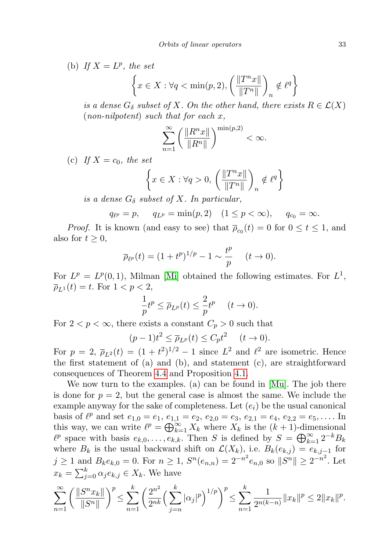(b) If  $X = L^p$ , the set

$$
\left\{ x \in X : \forall q < \min(p, 2), \left( \frac{\|T^n x\|}{\|T^n\|} \right)_n \notin \ell^q \right\}
$$

is a dense  $G_{\delta}$  subset of X. On the other hand, there exists  $R \in \mathcal{L}(X)$  $(non-nilpotent)$  such that for each x,

$$
\sum_{n=1}^{\infty} \left( \frac{\|R^n x\|}{\|R^n\|} \right)^{\min(p,2)} < \infty.
$$

(c) If  $X = c_0$ , the set

$$
\left\{ x \in X : \forall q > 0, \left( \frac{\|T^n x\|}{\|T^n\|} \right)_n \notin \ell^q \right\}
$$

is a dense  $G_{\delta}$  subset of X. In particular,

$$
q_{\ell^p} = p
$$
,  $q_{L^p} = \min(p, 2)$   $(1 \le p < \infty)$ ,  $q_{c_0} = \infty$ .

*Proof.* It is known (and easy to see) that  $\overline{\rho}_{c_0}(t) = 0$  for  $0 \le t \le 1$ , and also for  $t \geq 0$ ,

$$
\overline{\rho}_{\ell^p}(t) = (1 + t^p)^{1/p} - 1 \sim \frac{t^p}{p} \quad (t \to 0).
$$

For  $L^p = L^p(0,1)$ , Milman [\[Mi\]](#page-18-6) obtained the following estimates. For  $L^1$ ,  $\overline{\rho}_{L^{1}}(t) = t.$  For  $1 < p < 2$ ,

$$
\frac{1}{p}t^p \le \overline{\rho}_{L^p}(t) \le \frac{2}{p}t^p \quad (t \to 0).
$$

For  $2 < p < \infty$ , there exists a constant  $C_p > 0$  such that

$$
(p-1)t^2 \le \overline{\rho}_{L^p}(t) \le C_p t^2 \quad (t \to 0).
$$

For  $p = 2$ ,  $\bar{\rho}_{L^2}(t) = (1 + t^2)^{1/2} - 1$  since  $L^2$  and  $\ell^2$  are isometric. Hence the first statement of (a) and (b), and statement (c), are straightforward consequences of Theorem [4.4](#page-11-0) and Proposition [4.1.](#page-10-0)

We now turn to the examples. (a) can be found in [\[Mu\]](#page-18-1). The job there is done for  $p = 2$ , but the general case is almost the same. We include the example anyway for the sake of completeness. Let  $(e_i)$  be the usual canonical basis of  $\ell^p$  and set  $e_{1,0} = e_1, e_{1,1} = e_2, e_{2,0} = e_3, e_{2,1} = e_4, e_{2,2} = e_5, \ldots$  In this way, we can write  $\ell^p = \bigoplus_{k=1}^{\infty} X_k$  where  $X_k$  is the  $(k + 1)$ -dimensional  $\ell^p$  space with basis  $e_{k,0}, \ldots, e_{k,k}$ . Then S is defined by  $S = \bigoplus_{k=1}^{\infty} 2^{-k}B_k$ where  $B_k$  is the usual backward shift on  $\mathcal{L}(X_k)$ , i.e.  $B_k(e_{k,j}) = e_{k,j-1}$  for  $j \geq 1$  and  $B_k e_{k,0} = 0$ . For  $n \geq 1$ ,  $S^n(e_{n,n}) = 2^{-n^2} e_{n,0}$  so  $||S^n|| \geq 2^{-n^2}$ . Let  $x_k = \sum_{j=0}^k \alpha_j e_{k,j} \in X_k$ . We have

$$
\sum_{n=1}^{\infty} \left( \frac{\|S^n x_k\|}{\|S^n\|} \right)^p \le \sum_{n=1}^k \left( \frac{2^{n^2}}{2^{nk}} \left( \sum_{j=n}^k |\alpha_j|^p \right)^{1/p} \right)^p \le \sum_{n=1}^k \frac{1}{2^{n(k-n)}} \|x_k\|^p \le 2 \|x_k\|^p.
$$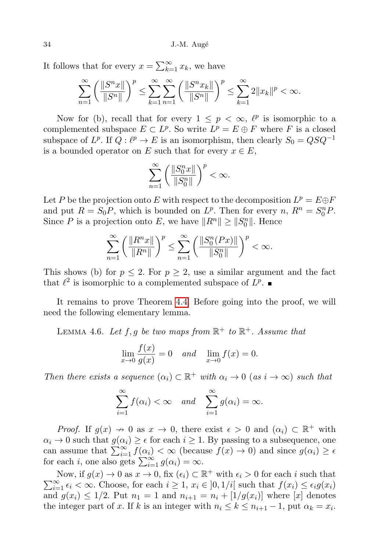It follows that for every  $x = \sum_{k=1}^{\infty} x_k$ , we have

$$
\sum_{n=1}^{\infty} \left( \frac{\|S^n x\|}{\|S^n\|} \right)^p \le \sum_{k=1}^{\infty} \sum_{n=1}^{\infty} \left( \frac{\|S^n x_k\|}{\|S^n\|} \right)^p \le \sum_{k=1}^{\infty} 2\|x_k\|^p < \infty.
$$

Now for (b), recall that for every  $1 \leq p < \infty$ ,  $\ell^p$  is isomorphic to a complemented subspace  $E \subset L^p$ . So write  $L^p = E \oplus F$  where F is a closed subspace of  $L^p$ . If  $Q: \ell^p \to E$  is an isomorphism, then clearly  $S_0 = QSQ^{-1}$ is a bounded operator on E such that for every  $x \in E$ ,

$$
\sum_{n=1}^\infty \left(\frac{\|S_0^nx\|}{\|S_0^n\|}\right)^p<\infty.
$$

Let P be the projection onto E with respect to the decomposition  $L^p = E \oplus F$ and put  $R = S_0 P$ , which is bounded on  $L^p$ . Then for every  $n, R^n = S_0^n P$ . Since P is a projection onto E, we have  $||R^n|| \ge ||S_0^n||$ . Hence

$$
\sum_{n=1}^{\infty} \left( \frac{\|R^n x\|}{\|R^n\|} \right)^p \le \sum_{n=1}^{\infty} \left( \frac{\|S_0^n(Px)\|}{\|S_0^n\|} \right)^p < \infty.
$$

This shows (b) for  $p \leq 2$ . For  $p \geq 2$ , use a similar argument and the fact that  $\ell^2$  is isomorphic to a complemented subspace of  $L^p$ .

It remains to prove Theorem [4.4.](#page-11-0) Before going into the proof, we will need the following elementary lemma.

<span id="page-13-0"></span>LEMMA 4.6. Let  $f, g$  be two maps from  $\mathbb{R}^+$  to  $\mathbb{R}^+$ . Assume that

$$
\lim_{x \to 0} \frac{f(x)}{g(x)} = 0 \quad and \quad \lim_{x \to 0} f(x) = 0.
$$

Then there exists a sequence  $(\alpha_i) \subset \mathbb{R}^+$  with  $\alpha_i \to 0$  (as  $i \to \infty$ ) such that

$$
\sum_{i=1}^{\infty} f(\alpha_i) < \infty \quad \text{and} \quad \sum_{i=1}^{\infty} g(\alpha_i) = \infty.
$$

*Proof.* If  $g(x) \to 0$  as  $x \to 0$ , there exist  $\epsilon > 0$  and  $(\alpha_i) \subset \mathbb{R}^+$  with  $\alpha_i \to 0$  such that  $g(\alpha_i) \geq \epsilon$  for each  $i \geq 1$ . By passing to a subsequence, one can assume that  $\sum_{i=1}^{\infty} f(\alpha_i) < \infty$  (because  $f(x) \to 0$ ) and since  $g(\alpha_i) \geq \epsilon$ for each i, one also gets  $\sum_{i=1}^{\infty} g(\alpha_i) = \infty$ .

Now, if  $g(x) \to 0$  as  $x \to 0$ , fix  $(\epsilon_i) \subset \mathbb{R}^+$  with  $\epsilon_i > 0$  for each i such that  $\sum_{i=1}^{\infty} \epsilon_i < \infty$ . Choose, for each  $i \geq 1$ ,  $x_i \in ]0,1/i[$  such that  $f(x_i) \leq \epsilon_i g(x_i)$ and  $g(x_i) \leq 1/2$ . Put  $n_1 = 1$  and  $n_{i+1} = n_i + \lfloor 1/g(x_i) \rfloor$  where  $\lfloor x \rfloor$  denotes the integer part of x. If k is an integer with  $n_i \leq k \leq n_{i+1} - 1$ , put  $\alpha_k = x_i$ .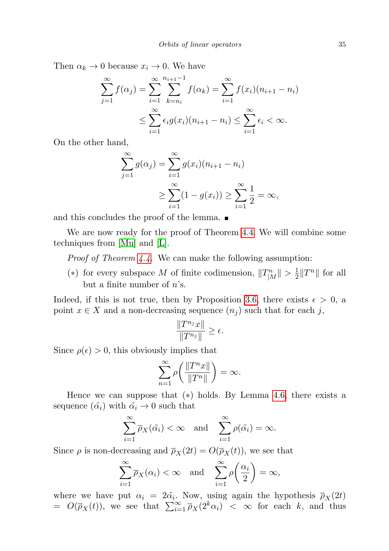Then  $\alpha_k \to 0$  because  $x_i \to 0$ . We have

$$
\sum_{j=1}^{\infty} f(\alpha_j) = \sum_{i=1}^{\infty} \sum_{k=n_i}^{n_{i+1}-1} f(\alpha_k) = \sum_{i=1}^{\infty} f(x_i)(n_{i+1} - n_i)
$$
  

$$
\leq \sum_{i=1}^{\infty} \epsilon_i g(x_i)(n_{i+1} - n_i) \leq \sum_{i=1}^{\infty} \epsilon_i < \infty.
$$

On the other hand,

$$
\sum_{j=1}^{\infty} g(\alpha_j) = \sum_{i=1}^{\infty} g(x_i)(n_{i+1} - n_i)
$$
  
 
$$
\geq \sum_{i=1}^{\infty} (1 - g(x_i)) \geq \sum_{i=1}^{\infty} \frac{1}{2} = \infty,
$$

and this concludes the proof of the lemma.  $\blacksquare$ 

We are now ready for the proof of Theorem [4.4.](#page-11-0) We will combine some techniques from [\[Mu\]](#page-18-1) and [\[L\]](#page-18-7).

Proof of Theorem [4.4.](#page-11-0) We can make the following assumption:

(\*) for every subspace M of finite codimension,  $||T_{|M}^n|| > \frac{1}{2}$  $\frac{1}{2}||T^n||$  for all but a finite number of  $n$ 's.

Indeed, if this is not true, then by Proposition [3.6,](#page-8-0) there exists  $\epsilon > 0$ , a point  $x \in X$  and a non-decreasing sequence  $(n_i)$  such that for each j,

$$
\frac{\|T^{n_j}x\|}{\|T^{n_j}\|} \ge \epsilon.
$$

Since  $\rho(\epsilon) > 0$ , this obviously implies that

$$
\sum_{n=1}^{\infty} \rho \bigg( \frac{\|T^n x\|}{\|T^n\|} \bigg) = \infty.
$$

Hence we can suppose that  $(*)$  holds. By Lemma [4.6,](#page-13-0) there exists a sequence  $(\tilde{\alpha}_i)$  with  $\tilde{\alpha}_i \rightarrow 0$  such that

$$
\sum_{i=1}^{\infty} \overline{\rho}_X(\tilde{\alpha}_i) < \infty \quad \text{and} \quad \sum_{i=1}^{\infty} \rho(\tilde{\alpha}_i) = \infty.
$$

Since  $\rho$  is non-decreasing and  $\overline{\rho}_X(2t) = O(\overline{\rho}_X(t))$ , we see that

$$
\sum_{i=1}^{\infty} \overline{\rho}_X(\alpha_i) < \infty \quad \text{and} \quad \sum_{i=1}^{\infty} \rho\left(\frac{\alpha_i}{2}\right) = \infty,
$$

where we have put  $\alpha_i = 2\tilde{\alpha}_i$ . Now, using again the hypothesis  $\bar{p}_X(2t)$  $= O(\overline{\rho}_X(t))$ , we see that  $\sum_{i=1}^{\infty} \overline{\rho}_X(2^k \alpha_i) < \infty$  for each k, and thus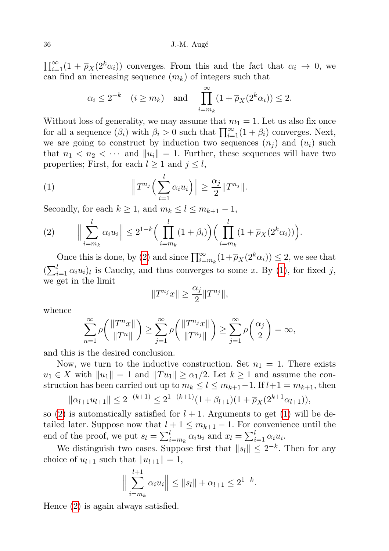$\prod_{i=1}^{\infty} (1 + \overline{\rho}_X(2^k \alpha_i))$  converges. From this and the fact that  $\alpha_i \to 0$ , we can find an increasing sequence  $(m_k)$  of integers such that

$$
\alpha_i \leq 2^{-k} \quad (i \geq m_k) \quad \text{and} \quad \prod_{i=m_k}^{\infty} (1 + \overline{\rho}_X(2^k \alpha_i)) \leq 2.
$$

Without loss of generality, we may assume that  $m_1 = 1$ . Let us also fix once for all a sequence  $(\beta_i)$  with  $\beta_i > 0$  such that  $\prod_{i=1}^{\infty} (1 + \beta_i)$  converges. Next, we are going to construct by induction two sequences  $(n_i)$  and  $(u_i)$  such that  $n_1 < n_2 < \cdots$  and  $||u_i|| = 1$ . Further, these sequences will have two properties; First, for each  $l \geq 1$  and  $j \leq l$ ,

<span id="page-15-1"></span>(1) 
$$
\left\|T^{n_j}\left(\sum_{i=1}^l \alpha_i u_i\right)\right\| \geq \frac{\alpha_j}{2} \|T^{n_j}\|.
$$

Secondly, for each  $k \geq 1$ , and  $m_k \leq l \leq m_{k+1} - 1$ ,

<span id="page-15-0"></span>
$$
(2) \qquad \Big\|\sum_{i=m_k}^l \alpha_i u_i\Big\| \leq 2^{1-k} \Big(\prod_{i=m_k}^l (1+\beta_i)\Big) \Big(\prod_{i=m_k}^l (1+\overline{\rho}_X(2^k\alpha_i))\Big).
$$

Once this is done, by [\(2\)](#page-15-0) and since  $\prod_{i=m_k}^{\infty} (1 + \overline{\rho}_X(2^k \alpha_i)) \leq 2$ , we see that  $(\sum_{i=1}^{l} \alpha_i u_i)_l$  is Cauchy, and thus converges to some x. By [\(1\)](#page-15-1), for fixed j, we get in the limit

$$
||T^{n_j}x|| \geq \frac{\alpha_j}{2}||T^{n_j}||,
$$

whence

$$
\sum_{n=1}^{\infty} \rho\left(\frac{\|T^n x\|}{\|T^n\|}\right) \ge \sum_{j=1}^{\infty} \rho\left(\frac{\|T^{n_j} x\|}{\|T^{n_j}\|}\right) \ge \sum_{j=1}^{\infty} \rho\left(\frac{\alpha_j}{2}\right) = \infty,
$$

and this is the desired conclusion.

Now, we turn to the inductive construction. Set  $n_1 = 1$ . There exists  $u_1 \in X$  with  $||u_1|| = 1$  and  $||Tu_1|| \ge \alpha_1/2$ . Let  $k \ge 1$  and assume the construction has been carried out up to  $m_k \leq l \leq m_{k+1}-1$ . If  $l+1 = m_{k+1}$ , then

$$
||\alpha_{l+1}u_{l+1}|| \leq 2^{-(k+1)} \leq 2^{1-(k+1)}(1+\beta_{l+1})(1+\overline{\rho}_X(2^{k+1}\alpha_{l+1})),
$$

so [\(2\)](#page-15-0) is automatically satisfied for  $l + 1$ . Arguments to get [\(1\)](#page-15-1) will be detailed later. Suppose now that  $l + 1 \leq m_{k+1} - 1$ . For convenience until the end of the proof, we put  $s_l = \sum_{i=m_k}^{l} \alpha_i u_i$  and  $x_l = \sum_{i=1}^{l} \alpha_i u_i$ .

We distinguish two cases. Suppose first that  $||s_l|| \leq 2^{-k}$ . Then for any choice of  $u_{l+1}$  such that  $||u_{l+1}|| = 1$ ,

$$
\Big\|\sum_{i=m_k}^{l+1} \alpha_i u_i\Big\| \le \|s_l\| + \alpha_{l+1} \le 2^{1-k}.
$$

Hence [\(2\)](#page-15-0) is again always satisfied.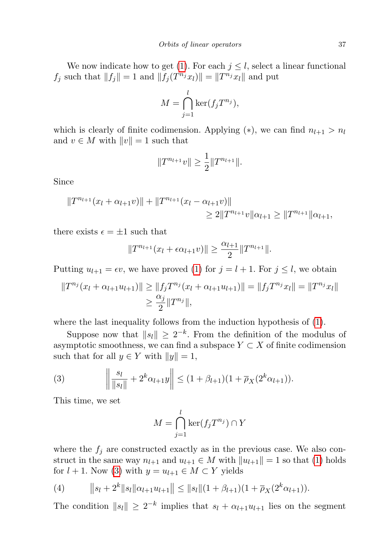We now indicate how to get [\(1\)](#page-15-1). For each  $j \leq l$ , select a linear functional  $f_j$  such that  $||f_j|| = 1$  and  $||f_j(T^{n_j}x_l)|| = ||T^{n_j}x_l||$  and put

$$
M = \bigcap_{j=1}^{l} \ker(f_j T^{n_j}),
$$

which is clearly of finite codimension. Applying  $(*)$ , we can find  $n_{l+1} > n_l$ and  $v \in M$  with  $||v|| = 1$  such that

$$
||T^{n_{l+1}}v|| \geq \frac{1}{2}||T^{n_{l+1}}||.
$$

Since

$$
||T^{n_{l+1}}(x_l + \alpha_{l+1}v)|| + ||T^{n_{l+1}}(x_l - \alpha_{l+1}v)||
$$
  
\n
$$
\geq 2||T^{n_{l+1}}v||\alpha_{l+1} \geq ||T^{n_{l+1}}||\alpha_{l+1},
$$

there exists  $\epsilon = \pm 1$  such that

$$
||T^{n_{l+1}}(x_l + \epsilon \alpha_{l+1} v)|| \ge \frac{\alpha_{l+1}}{2} ||T^{n_{l+1}}||.
$$

Putting  $u_{l+1} = \epsilon v$ , we have proved [\(1\)](#page-15-1) for  $j = l + 1$ . For  $j \leq l$ , we obtain

$$
||T^{n_j}(x_l + \alpha_{l+1}u_{l+1})|| \ge ||f_jT^{n_j}(x_l + \alpha_{l+1}u_{l+1})|| = ||f_jT^{n_j}x_l|| = ||T^{n_j}x_l||
$$
  

$$
\ge \frac{\alpha_j}{2}||T^{n_j}||,
$$

where the last inequality follows from the induction hypothesis of [\(1\)](#page-15-1).

Suppose now that  $||s_l|| \geq 2^{-k}$ . From the definition of the modulus of asymptotic smoothness, we can find a subspace  $Y \subset X$  of finite codimension such that for all  $y \in Y$  with  $||y|| = 1$ ,

<span id="page-16-0"></span>(3) 
$$
\left\| \frac{s_l}{\|s_l\|} + 2^k \alpha_{l+1} y \right\| \le (1 + \beta_{l+1})(1 + \overline{\rho}_X(2^k \alpha_{l+1})).
$$

This time, we set

$$
M = \bigcap_{j=1}^{l} \ker(f_j T^{n_j}) \cap Y
$$

where the  $f_i$  are constructed exactly as in the previous case. We also construct in the same way  $n_{l+1}$  and  $u_{l+1} \in M$  with  $||u_{l+1}|| = 1$  so that [\(1\)](#page-15-1) holds for  $l + 1$ . Now [\(3\)](#page-16-0) with  $y = u_{l+1} \in M \subset Y$  yields

<span id="page-16-1"></span>(4) 
$$
\|s_l + 2^k \|s_l\|\alpha_{l+1} u_{l+1}\| \leq \|s_l\|(1 + \beta_{l+1})(1 + \overline{\rho}_X(2^k \alpha_{l+1})).
$$

The condition  $||s_l|| \geq 2^{-k}$  implies that  $s_l + \alpha_{l+1}u_{l+1}$  lies on the segment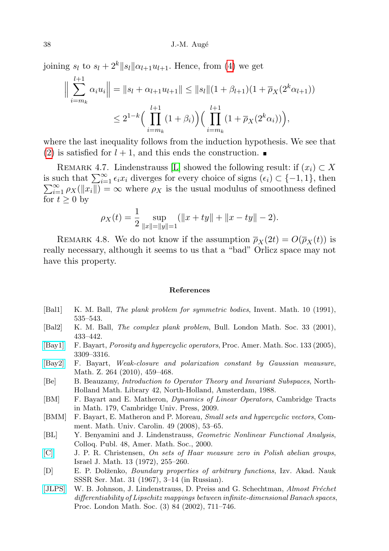joining  $s_l$  to  $s_l + 2^k ||s_l|| \alpha_{l+1} u_{l+1}$ . Hence, from [\(4\)](#page-16-1) we get

$$
\Big\| \sum_{i=m_k}^{l+1} \alpha_i u_i \Big\| = \|s_l + \alpha_{l+1} u_{l+1}\| \le \|s_l\|(1+\beta_{l+1})(1+\overline{\rho}_X(2^k \alpha_{l+1}))
$$
  

$$
\le 2^{1-k} \Big( \prod_{i=m_k}^{l+1} (1+\beta_i) \Big) \Big( \prod_{i=m_k}^{l+1} (1+\overline{\rho}_X(2^k \alpha_i)) \Big),
$$

where the last inequality follows from the induction hypothesis. We see that [\(2\)](#page-15-0) is satisfied for  $l + 1$ , and this ends the construction.

REMARK 4.7. Lindenstrauss [\[L\]](#page-18-7) showed the following result: if  $(x_i) \subset X$ is such that  $\sum_{i=1}^{\infty} \epsilon_i x_i$  diverges for every choice of signs  $(\epsilon_i) \subset \{-1,1\}$ , then  $\sum_{i=1}^{\infty} \rho_X(\|x_i\|) = \infty$  where  $\rho_X$  is the usual modulus of smoothness defined for  $t \geq 0$  by

$$
\rho_X(t) = \frac{1}{2} \sup_{\|x\| = \|y\| = 1} (\|x + ty\| + \|x - ty\| - 2).
$$

REMARK 4.8. We do not know if the assumption  $\bar{p}_X(2t) = O(\bar{p}_X(t))$  is really necessary, although it seems to us that a "bad" Orlicz space may not have this property.

## References

- <span id="page-17-5"></span>[Bal1] K. M. Ball, The plank problem for symmetric bodies, Invent. Math. 10 (1991), 535–543.
- <span id="page-17-6"></span>[Bal2] K. M. Ball, The complex plank problem, Bull. London Math. Soc. 33 (2001), 433–442.
- <span id="page-17-2"></span>[\[Bay1\]](http://dx.doi.org/10.1090/S0002-9939-05-07842-1) F. Bayart, Porosity and hypercyclic operators, Proc. Amer. Math. Soc. 133 (2005), 3309–3316.
- <span id="page-17-7"></span>[\[Bay2\]](http://dx.doi.org/10.1007/s00209-009-0474-2) F. Bayart, Weak-closure and polarization constant by Gaussian meausure, Math. Z. 264 (2010), 459–468.
- <span id="page-17-4"></span>[Be] B. Beauzamy, Introduction to Operator Theory and Invariant Subspaces, North-Holland Math. Library 42, North-Holland, Amsterdam, 1988.
- <span id="page-17-0"></span>[BM] F. Bayart and E. Matheron, Dynamics of Linear Operators, Cambridge Tracts in Math. 179, Cambridge Univ. Press, 2009.
- <span id="page-17-3"></span>[BMM] F. Bayart, E. Matheron and P. Moreau, Small sets and hypercyclic vectors, Comment. Math. Univ. Carolin. 49 (2008), 53–65.
- <span id="page-17-1"></span>[BL] Y. Benyamini and J. Lindenstrauss, Geometric Nonlinear Functional Analysis, Colloq. Publ. 48, Amer. Math. Soc., 2000.
- <span id="page-17-9"></span>[\[C\]](http://dx.doi.org/10.1007/BF02762799) J. P. R. Christensen, On sets of Haar measure zero in Polish abelian groups, Israel J. Math. 13 (1972), 255–260.
- <span id="page-17-8"></span>[D] E. P. Dolženko, *Boundary properties of arbitrary functions*, Izv. Akad. Nauk SSSR Ser. Mat. 31 (1967), 3–14 (in Russian).
- <span id="page-17-10"></span>[\[JLPS\]](http://dx.doi.org/10.1112/S0024611502013400) W. B. Johnson, J. Lindenstrauss, D. Preiss and G. Schechtman, Almost Fréchet differentiability of Lipschitz mappings between infinite-dimensional Banach spaces, Proc. London Math. Soc. (3) 84 (2002), 711–746.